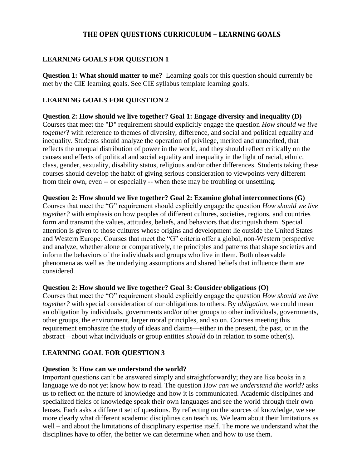## **THE OPEN QUESTIONS CURRICULUM – LEARNING GOALS**

## **LEARNING GOALS FOR QUESTION 1**

**Question 1: What should matter to me?** Learning goals for this question should currently be met by the CIE learning goals. See CIE syllabus template learning goals.

#### **LEARNING GOALS FOR QUESTION 2**

**Question 2: How should we live together? Goal 1: Engage diversity and inequality (D)** Courses that meet the "D" requirement should explicitly engage the question *How should we live together*? with reference to themes of diversity, difference, and social and political equality and inequality. Students should analyze the operation of privilege, merited and unmerited, that reflects the unequal distribution of power in the world, and they should reflect critically on the causes and effects of political and social equality and inequality in the light of racial, ethnic, class, gender, sexuality, disability status, religious and/or other differences. Students taking these courses should develop the habit of giving serious consideration to viewpoints very different from their own, even -- or especially -- when these may be troubling or unsettling.

**Question 2: How should we live together? Goal 2: Examine global interconnections (G)** Courses that meet the "G" requirement should explicitly engage the question *How should we live together?* with emphasis on how peoples of different cultures, societies, regions, and countries form and transmit the values, attitudes, beliefs, and behaviors that distinguish them. Special attention is given to those cultures whose origins and development lie outside the United States and Western Europe. Courses that meet the "G" criteria offer a global, non-Western perspective and analyze, whether alone or comparatively, the principles and patterns that shape societies and inform the behaviors of the individuals and groups who live in them. Both observable phenomena as well as the underlying assumptions and shared beliefs that influence them are considered.

#### **Question 2: How should we live together? Goal 3: Consider obligations (O)**

Courses that meet the "O" requirement should explicitly engage the question *How should we live together?* with special consideration of our obligations to others. By *obligation*, we could mean an obligation by individuals, governments and/or other groups to other individuals, governments, other groups, the environment, larger moral principles, and so on. Courses meeting this requirement emphasize the study of ideas and claims—either in the present, the past, or in the abstract—about what individuals or group entities *should* do in relation to some other(s).

## **LEARNING GOAL FOR QUESTION 3**

#### **Question 3: How can we understand the world?**

Important questions can't be answered simply and straightforwardly; they are like books in a language we do not yet know how to read. The question *How can we understand the world*? asks us to reflect on the nature of knowledge and how it is communicated. Academic disciplines and specialized fields of knowledge speak their own languages and see the world through their own lenses. Each asks a different set of questions. By reflecting on the sources of knowledge, we see more clearly what different academic disciplines can teach us. We learn about their limitations as well – and about the limitations of disciplinary expertise itself. The more we understand what the disciplines have to offer, the better we can determine when and how to use them.